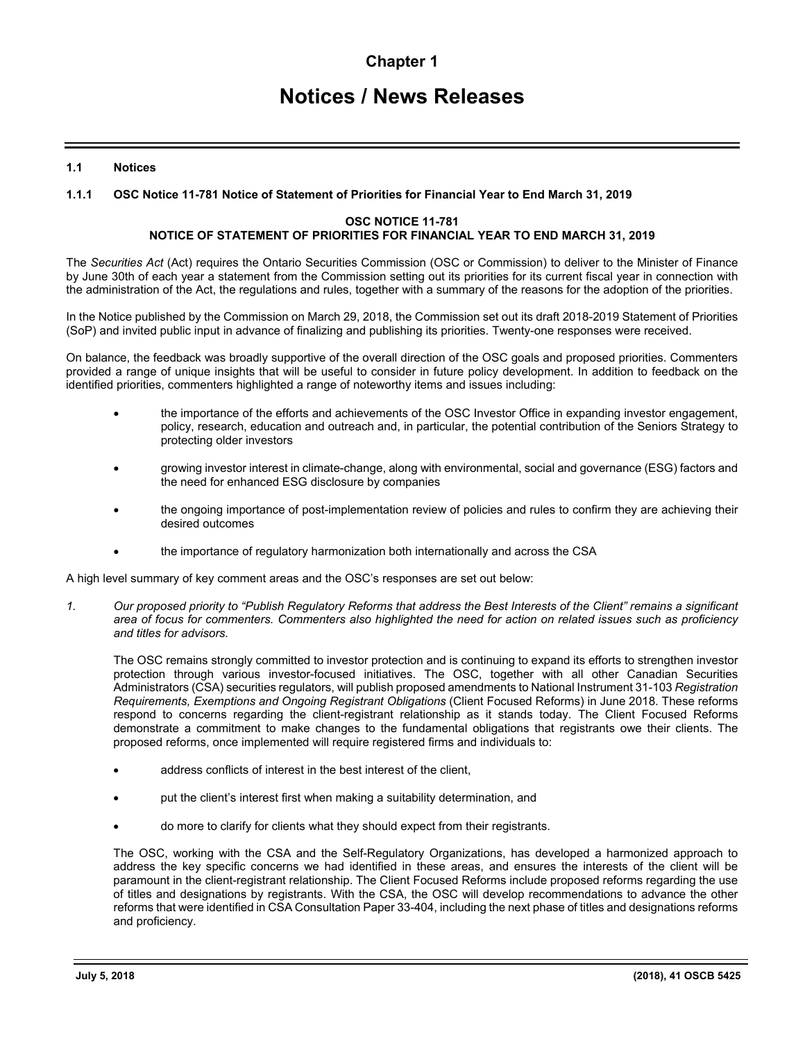# **Chapter 1**

# **Notices / News Releases**

#### **1.1 Notices**

#### **1.1.1 OSC Notice 11-781 Notice of Statement of Priorities for Financial Year to End March 31, 2019**

#### **OSC NOTICE 11-781 NOTICE OF STATEMENT OF PRIORITIES FOR FINANCIAL YEAR TO END MARCH 31, 2019**

The *Securities Act* (Act) requires the Ontario Securities Commission (OSC or Commission) to deliver to the Minister of Finance by June 30th of each year a statement from the Commission setting out its priorities for its current fiscal year in connection with the administration of the Act, the regulations and rules, together with a summary of the reasons for the adoption of the priorities.

In the Notice published by the Commission on March 29, 2018, the Commission set out its draft 2018-2019 Statement of Priorities (SoP) and invited public input in advance of finalizing and publishing its priorities. Twenty-one responses were received.

On balance, the feedback was broadly supportive of the overall direction of the OSC goals and proposed priorities. Commenters provided a range of unique insights that will be useful to consider in future policy development. In addition to feedback on the identified priorities, commenters highlighted a range of noteworthy items and issues including:

- the importance of the efforts and achievements of the OSC Investor Office in expanding investor engagement, policy, research, education and outreach and, in particular, the potential contribution of the Seniors Strategy to protecting older investors
- growing investor interest in climate-change, along with environmental, social and governance (ESG) factors and the need for enhanced ESG disclosure by companies
- the ongoing importance of post-implementation review of policies and rules to confirm they are achieving their desired outcomes
- the importance of regulatory harmonization both internationally and across the CSA

A high level summary of key comment areas and the OSC's responses are set out below:

*1. Our proposed priority to "Publish Regulatory Reforms that address the Best Interests of the Client" remains a significant area of focus for commenters. Commenters also highlighted the need for action on related issues such as proficiency and titles for advisors.* 

The OSC remains strongly committed to investor protection and is continuing to expand its efforts to strengthen investor protection through various investor-focused initiatives. The OSC, together with all other Canadian Securities Administrators (CSA) securities regulators, will publish proposed amendments to National Instrument 31-103 *Registration Requirements, Exemptions and Ongoing Registrant Obligations* (Client Focused Reforms) in June 2018. These reforms respond to concerns regarding the client-registrant relationship as it stands today. The Client Focused Reforms demonstrate a commitment to make changes to the fundamental obligations that registrants owe their clients. The proposed reforms, once implemented will require registered firms and individuals to:

- address conflicts of interest in the best interest of the client,
- put the client's interest first when making a suitability determination, and
- do more to clarify for clients what they should expect from their registrants.

The OSC, working with the CSA and the Self-Regulatory Organizations, has developed a harmonized approach to address the key specific concerns we had identified in these areas, and ensures the interests of the client will be paramount in the client-registrant relationship. The Client Focused Reforms include proposed reforms regarding the use of titles and designations by registrants. With the CSA, the OSC will develop recommendations to advance the other reforms that were identified in CSA Consultation Paper 33-404, including the next phase of titles and designations reforms and proficiency.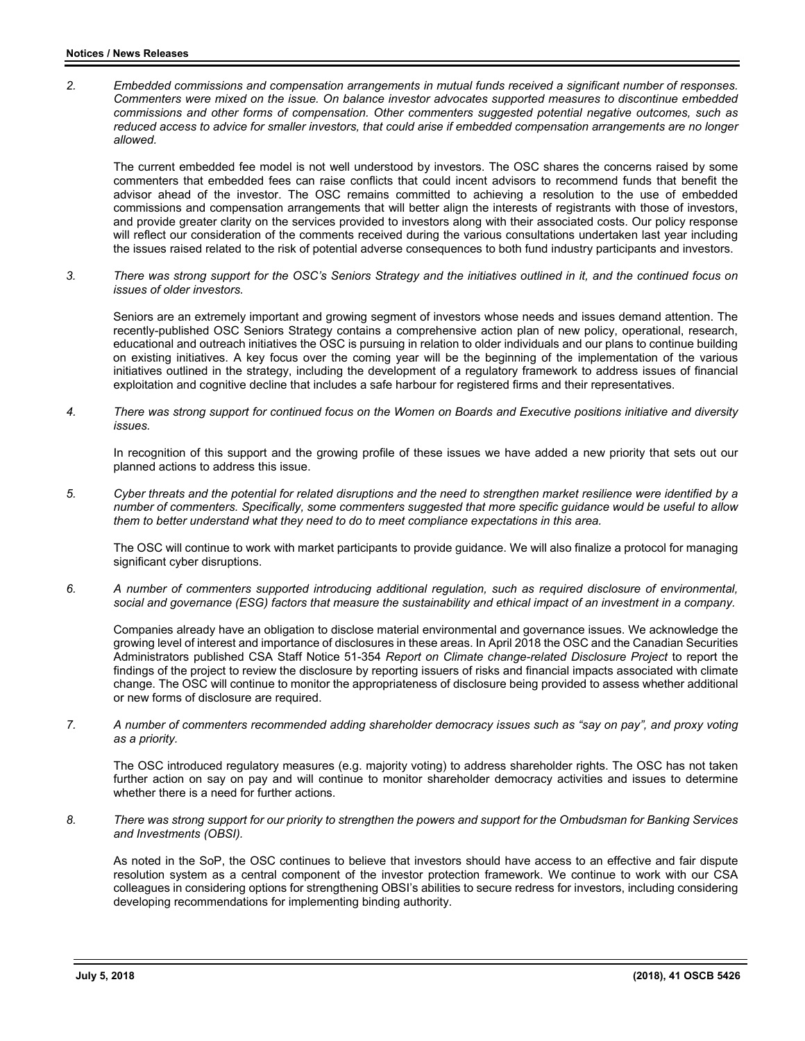*2. Embedded commissions and compensation arrangements in mutual funds received a significant number of responses. Commenters were mixed on the issue. On balance investor advocates supported measures to discontinue embedded commissions and other forms of compensation. Other commenters suggested potential negative outcomes, such as reduced access to advice for smaller investors, that could arise if embedded compensation arrangements are no longer allowed.* 

The current embedded fee model is not well understood by investors. The OSC shares the concerns raised by some commenters that embedded fees can raise conflicts that could incent advisors to recommend funds that benefit the advisor ahead of the investor. The OSC remains committed to achieving a resolution to the use of embedded commissions and compensation arrangements that will better align the interests of registrants with those of investors, and provide greater clarity on the services provided to investors along with their associated costs. Our policy response will reflect our consideration of the comments received during the various consultations undertaken last year including the issues raised related to the risk of potential adverse consequences to both fund industry participants and investors.

*3. There was strong support for the OSC's Seniors Strategy and the initiatives outlined in it, and the continued focus on issues of older investors.* 

Seniors are an extremely important and growing segment of investors whose needs and issues demand attention. The recently-published OSC Seniors Strategy contains a comprehensive action plan of new policy, operational, research, educational and outreach initiatives the OSC is pursuing in relation to older individuals and our plans to continue building on existing initiatives. A key focus over the coming year will be the beginning of the implementation of the various initiatives outlined in the strategy, including the development of a regulatory framework to address issues of financial exploitation and cognitive decline that includes a safe harbour for registered firms and their representatives.

*4. There was strong support for continued focus on the Women on Boards and Executive positions initiative and diversity issues.* 

In recognition of this support and the growing profile of these issues we have added a new priority that sets out our planned actions to address this issue.

*5. Cyber threats and the potential for related disruptions and the need to strengthen market resilience were identified by a number of commenters. Specifically, some commenters suggested that more specific guidance would be useful to allow them to better understand what they need to do to meet compliance expectations in this area.*

The OSC will continue to work with market participants to provide guidance. We will also finalize a protocol for managing significant cyber disruptions.

*6. A number of commenters supported introducing additional regulation, such as required disclosure of environmental, social and governance (ESG) factors that measure the sustainability and ethical impact of an investment in a company.*

Companies already have an obligation to disclose material environmental and governance issues. We acknowledge the growing level of interest and importance of disclosures in these areas. In April 2018 the OSC and the Canadian Securities Administrators published CSA Staff Notice 51-354 *Report on Climate change-related Disclosure Project* to report the findings of the project to review the disclosure by reporting issuers of risks and financial impacts associated with climate change. The OSC will continue to monitor the appropriateness of disclosure being provided to assess whether additional or new forms of disclosure are required.

*7. A number of commenters recommended adding shareholder democracy issues such as "say on pay", and proxy voting as a priority.* 

The OSC introduced regulatory measures (e.g. majority voting) to address shareholder rights. The OSC has not taken further action on say on pay and will continue to monitor shareholder democracy activities and issues to determine whether there is a need for further actions.

*8. There was strong support for our priority to strengthen the powers and support for the Ombudsman for Banking Services and Investments (OBSI).* 

As noted in the SoP, the OSC continues to believe that investors should have access to an effective and fair dispute resolution system as a central component of the investor protection framework. We continue to work with our CSA colleagues in considering options for strengthening OBSI's abilities to secure redress for investors, including considering developing recommendations for implementing binding authority.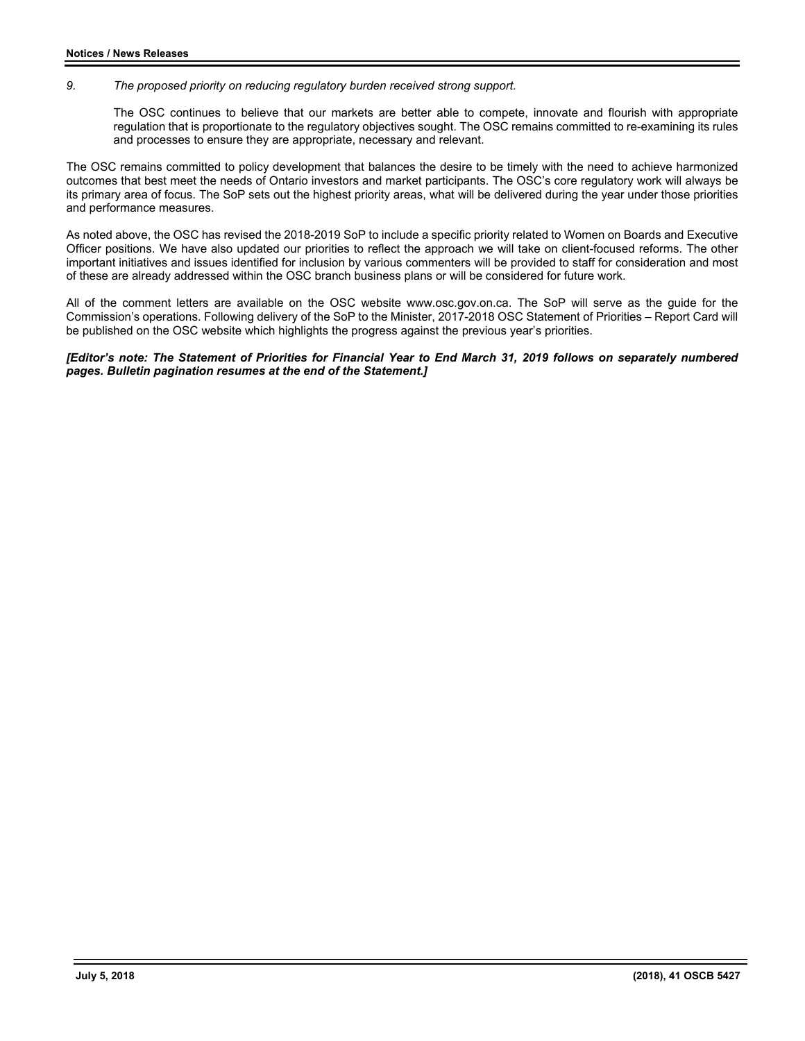*9. The proposed priority on reducing regulatory burden received strong support.*

The OSC continues to believe that our markets are better able to compete, innovate and flourish with appropriate regulation that is proportionate to the regulatory objectives sought. The OSC remains committed to re-examining its rules and processes to ensure they are appropriate, necessary and relevant.

The OSC remains committed to policy development that balances the desire to be timely with the need to achieve harmonized outcomes that best meet the needs of Ontario investors and market participants. The OSC's core regulatory work will always be its primary area of focus. The SoP sets out the highest priority areas, what will be delivered during the year under those priorities and performance measures.

As noted above, the OSC has revised the 2018-2019 SoP to include a specific priority related to Women on Boards and Executive Officer positions. We have also updated our priorities to reflect the approach we will take on client-focused reforms. The other important initiatives and issues identified for inclusion by various commenters will be provided to staff for consideration and most of these are already addressed within the OSC branch business plans or will be considered for future work.

All of the comment letters are available on the OSC website www.osc.gov.on.ca. The SoP will serve as the guide for the Commission's operations. Following delivery of the SoP to the Minister, 2017-2018 OSC Statement of Priorities – Report Card will be published on the OSC website which highlights the progress against the previous year's priorities.

*[Editor's note: The Statement of Priorities for Financial Year to End March 31, 2019 follows on separately numbered pages. Bulletin pagination resumes at the end of the Statement.]*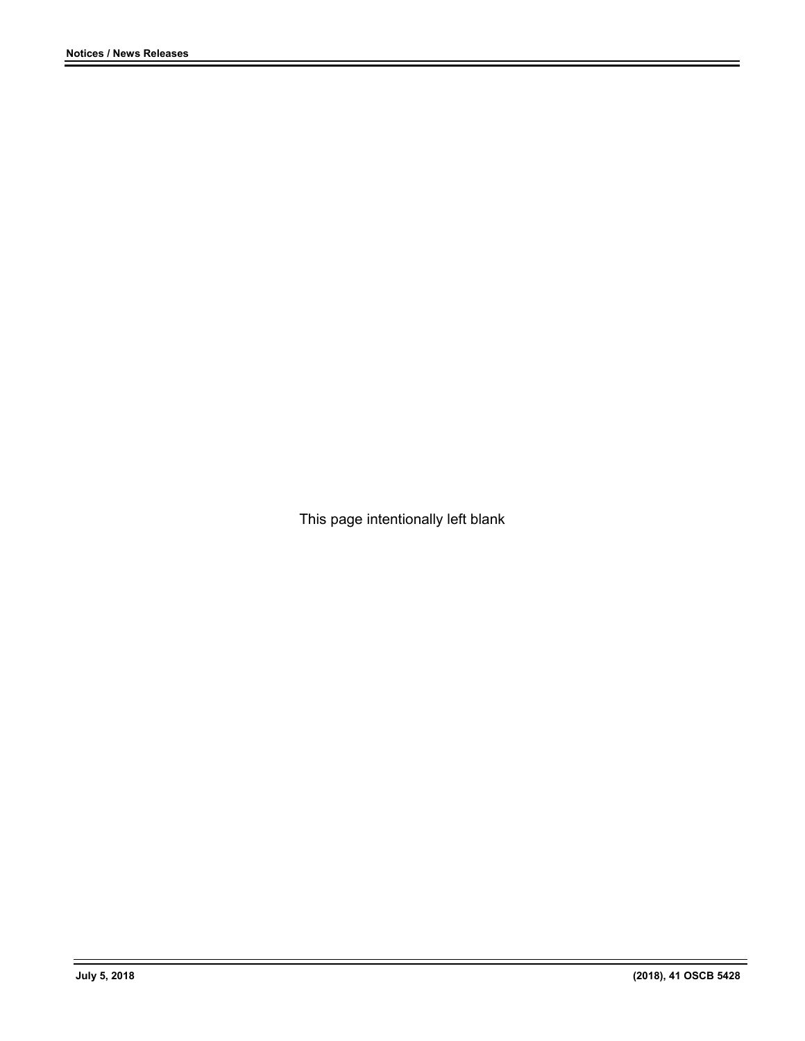This page intentionally left blank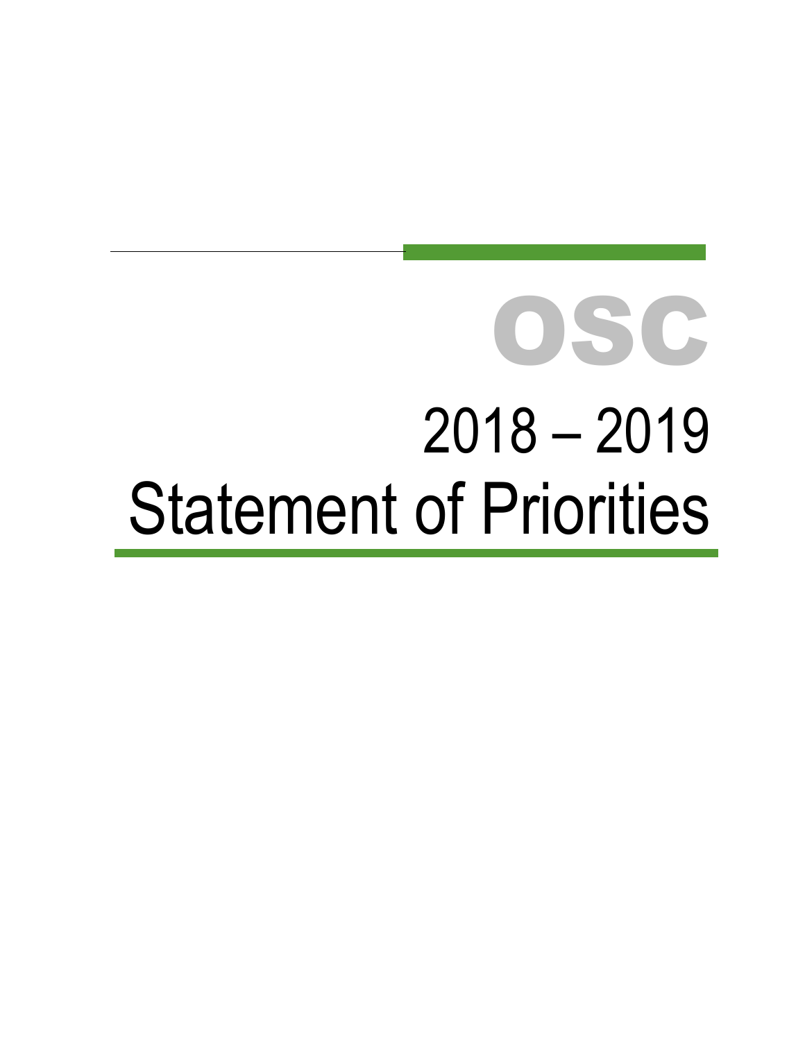# OSC 2018 – 2019 Statement of Priorities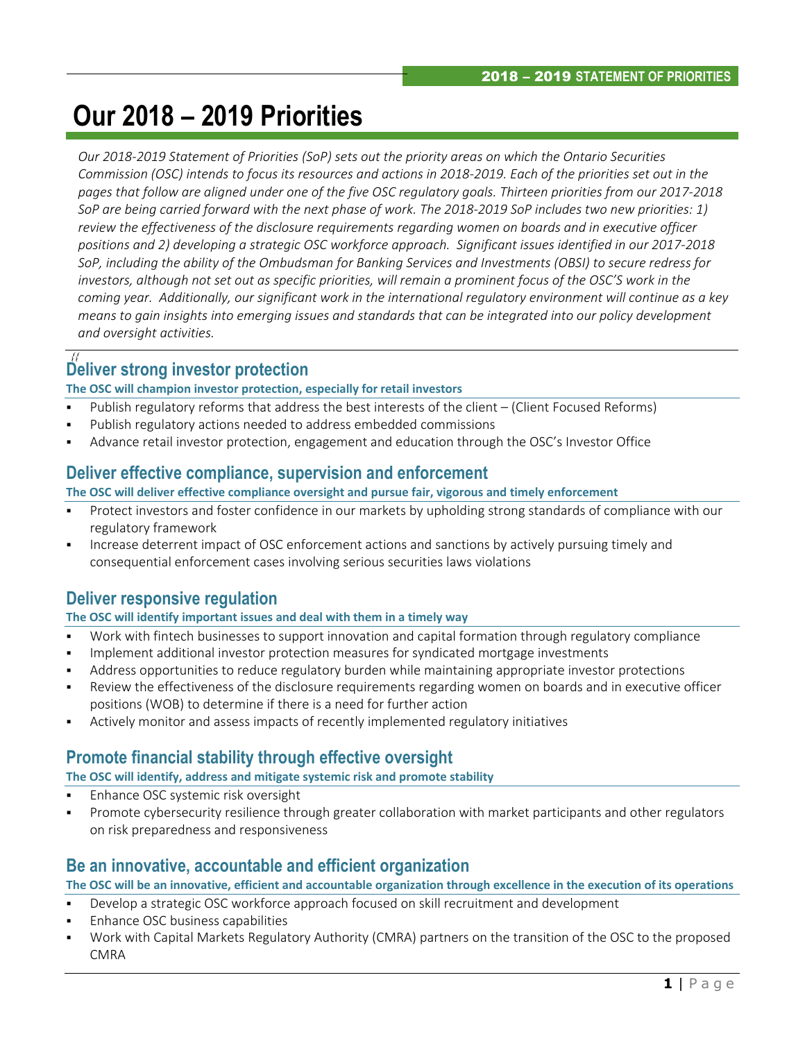# **Our 2018 – 2019 Priorities**

*Our 2018-2019 Statement of Priorities (SoP) sets out the priority areas on which the Ontario Securities Commission (OSC) intends to focus its resources and actions in 2018-2019. Each of the priorities set out in the pages that follow are aligned under one of the five OSC regulatory goals. Thirteen priorities from our 2017-2018 SoP are being carried forward with the next phase of work. The 2018-2019 SoP includes two new priorities: 1) review the effectiveness of the disclosure requirements regarding women on boards and in executive officer positions and 2) developing a strategic OSC workforce approach. Significant issues identified in our 2017-2018 SoP, including the ability of the Ombudsman for Banking Services and Investments (OBSI) to secure redress for investors, although not set out as specific priorities, will remain a prominent focus of the OSC'S work in the coming year. Additionally, our significant work in the international regulatory environment will continue as a key means to gain insights into emerging issues and standards that can be integrated into our policy development and oversight activities.* 

# *{{* **Deliver strong investor protection**

#### **The OSC will champion investor protection, especially for retail investors**

- Publish regulatory reforms that address the best interests of the client (Client Focused Reforms)
- Publish regulatory actions needed to address embedded commissions
- Advance retail investor protection, engagement and education through the OSC's Investor Office

# **Deliver effective compliance, supervision and enforcement**

#### **The OSC will deliver effective compliance oversight and pursue fair, vigorous and timely enforcement**

- Protect investors and foster confidence in our markets by upholding strong standards of compliance with our regulatory framework
- Increase deterrent impact of OSC enforcement actions and sanctions by actively pursuing timely and consequential enforcement cases involving serious securities laws violations

# **Deliver responsive regulation**

#### **The OSC will identify important issues and deal with them in a timely way**

- Work with fintech businesses to support innovation and capital formation through regulatory compliance
- Implement additional investor protection measures for syndicated mortgage investments
- Address opportunities to reduce regulatory burden while maintaining appropriate investor protections
- Review the effectiveness of the disclosure requirements regarding women on boards and in executive officer positions (WOB) to determine if there is a need for further action
- Actively monitor and assess impacts of recently implemented regulatory initiatives

# **Promote financial stability through effective oversight**

**The OSC will identify, address and mitigate systemic risk and promote stability**

- Enhance OSC systemic risk oversight
- Promote cybersecurity resilience through greater collaboration with market participants and other regulators on risk preparedness and responsiveness

# **Be an innovative, accountable and efficient organization**

**The OSC will be an innovative, efficient and accountable organization through excellence in the execution of its operations**

- Develop a strategic OSC workforce approach focused on skill recruitment and development
- Enhance OSC business capabilities
- Work with Capital Markets Regulatory Authority (CMRA) partners on the transition of the OSC to the proposed CMRA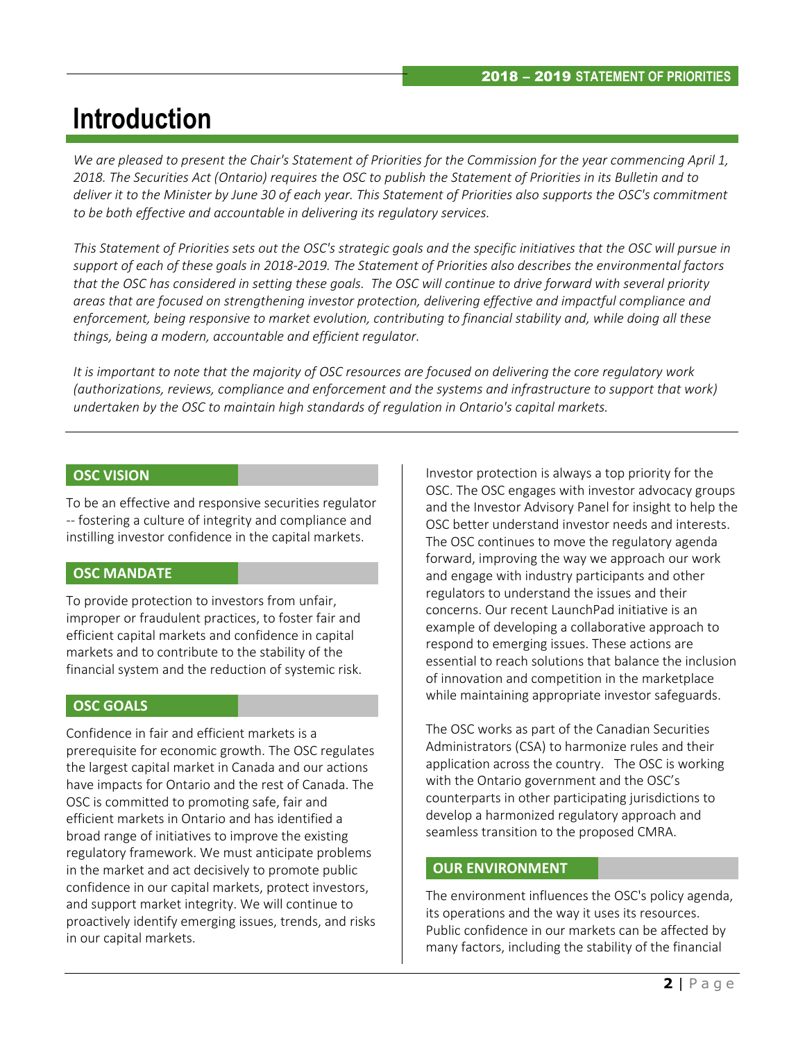# **Introduction**

*We are pleased to present the Chair's Statement of Priorities for the Commission for the year commencing April 1, 2018. The Securities Act (Ontario) requires the OSC to publish the Statement of Priorities in its Bulletin and to deliver it to the Minister by June 30 of each year. This Statement of Priorities also supports the OSC's commitment to be both effective and accountable in delivering its regulatory services.*

*This Statement of Priorities sets out the OSC's strategic goals and the specific initiatives that the OSC will pursue in support of each of these goals in 2018-2019. The Statement of Priorities also describes the environmental factors that the OSC has considered in setting these goals. The OSC will continue to drive forward with several priority areas that are focused on strengthening investor protection, delivering effective and impactful compliance and enforcement, being responsive to market evolution, contributing to financial stability and, while doing all these things, being a modern, accountable and efficient regulator.*

*It is important to note that the majority of OSC resources are focused on delivering the core regulatory work (authorizations, reviews, compliance and enforcement and the systems and infrastructure to support that work) undertaken by the OSC to maintain high standards of regulation in Ontario's capital markets.*

#### **OSC VISION**

To be an effective and responsive securities regulator -- fostering a culture of integrity and compliance and instilling investor confidence in the capital markets.

#### **OSC MANDATE**

To provide protection to investors from unfair, improper or fraudulent practices, to foster fair and efficient capital markets and confidence in capital markets and to contribute to the stability of the financial system and the reduction of systemic risk.

#### **OSC GOALS**

Confidence in fair and efficient markets is a prerequisite for economic growth. The OSC regulates the largest capital market in Canada and our actions have impacts for Ontario and the rest of Canada. The OSC is committed to promoting safe, fair and efficient markets in Ontario and has identified a broad range of initiatives to improve the existing regulatory framework. We must anticipate problems in the market and act decisively to promote public confidence in our capital markets, protect investors, and support market integrity. We will continue to proactively identify emerging issues, trends, and risks in our capital markets.

Investor protection is always a top priority for the OSC. The OSC engages with investor advocacy groups and the Investor Advisory Panel for insight to help the OSC better understand investor needs and interests. The OSC continues to move the regulatory agenda forward, improving the way we approach our work and engage with industry participants and other regulators to understand the issues and their concerns. Our recent LaunchPad initiative is an example of developing a collaborative approach to respond to emerging issues. These actions are essential to reach solutions that balance the inclusion of innovation and competition in the marketplace while maintaining appropriate investor safeguards.

The OSC works as part of the Canadian Securities Administrators (CSA) to harmonize rules and their application across the country. The OSC is working with the Ontario government and the OSC's counterparts in other participating jurisdictions to develop a harmonized regulatory approach and seamless transition to the proposed CMRA.

#### **OUR ENVIRONMENT**

The environment influences the OSC's policy agenda, its operations and the way it uses its resources. Public confidence in our markets can be affected by many factors, including the stability of the financial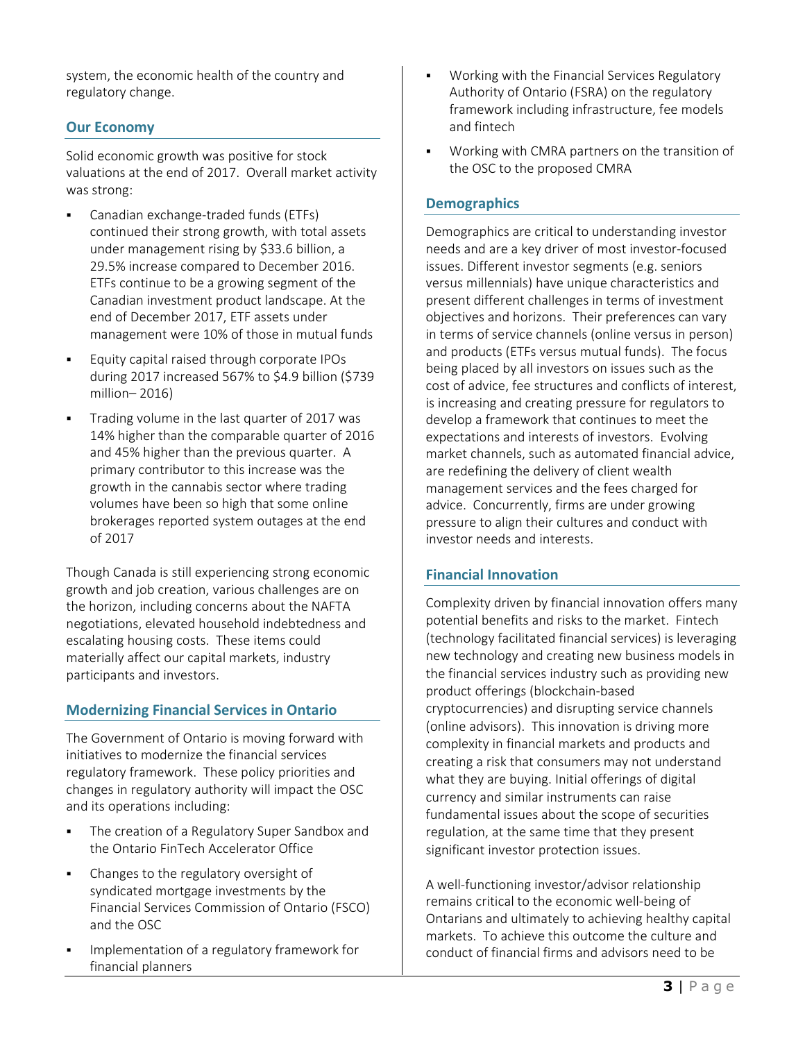system, the economic health of the country and regulatory change.

## **Our Economy**

Solid economic growth was positive for stock valuations at the end of 2017. Overall market activity was strong:

- Canadian exchange-traded funds (ETFs) continued their strong growth, with total assets under management rising by \$33.6 billion, a 29.5% increase compared to December 2016. ETFs continue to be a growing segment of the Canadian investment product landscape. At the end of December 2017, ETF assets under management were 10% of those in mutual funds
- Equity capital raised through corporate IPOs during 2017 increased 567% to \$4.9 billion (\$739 million– 2016)
- Trading volume in the last quarter of 2017 was 14% higher than the comparable quarter of 2016 and 45% higher than the previous quarter. A primary contributor to this increase was the growth in the cannabis sector where trading volumes have been so high that some online brokerages reported system outages at the end of 2017

Though Canada is still experiencing strong economic growth and job creation, various challenges are on the horizon, including concerns about the NAFTA negotiations, elevated household indebtedness and escalating housing costs. These items could materially affect our capital markets, industry participants and investors.

#### **Modernizing Financial Services in Ontario**

The Government of Ontario is moving forward with initiatives to modernize the financial services regulatory framework. These policy priorities and changes in regulatory authority will impact the OSC and its operations including:

- The creation of a Regulatory Super Sandbox and the Ontario FinTech Accelerator Office
- Changes to the regulatory oversight of syndicated mortgage investments by the Financial Services Commission of Ontario (FSCO) and the OSC
- Implementation of a regulatory framework for financial planners
- Working with the Financial Services Regulatory Authority of Ontario (FSRA) on the regulatory framework including infrastructure, fee models and fintech
- Working with CMRA partners on the transition of the OSC to the proposed CMRA

#### **Demographics**

Demographics are critical to understanding investor needs and are a key driver of most investor-focused issues. Different investor segments (e.g. seniors versus millennials) have unique characteristics and present different challenges in terms of investment objectives and horizons. Their preferences can vary in terms of service channels (online versus in person) and products (ETFs versus mutual funds). The focus being placed by all investors on issues such as the cost of advice, fee structures and conflicts of interest, is increasing and creating pressure for regulators to develop a framework that continues to meet the expectations and interests of investors. Evolving market channels, such as automated financial advice, are redefining the delivery of client wealth management services and the fees charged for advice. Concurrently, firms are under growing pressure to align their cultures and conduct with investor needs and interests.

#### **Financial Innovation**

Complexity driven by financial innovation offers many potential benefits and risks to the market. Fintech (technology facilitated financial services) is leveraging new technology and creating new business models in the financial services industry such as providing new product offerings (blockchain-based cryptocurrencies) and disrupting service channels (online advisors). This innovation is driving more complexity in financial markets and products and creating a risk that consumers may not understand what they are buying. Initial offerings of digital currency and similar instruments can raise fundamental issues about the scope of securities regulation, at the same time that they present significant investor protection issues.

A well-functioning investor/advisor relationship remains critical to the economic well-being of Ontarians and ultimately to achieving healthy capital markets. To achieve this outcome the culture and conduct of financial firms and advisors need to be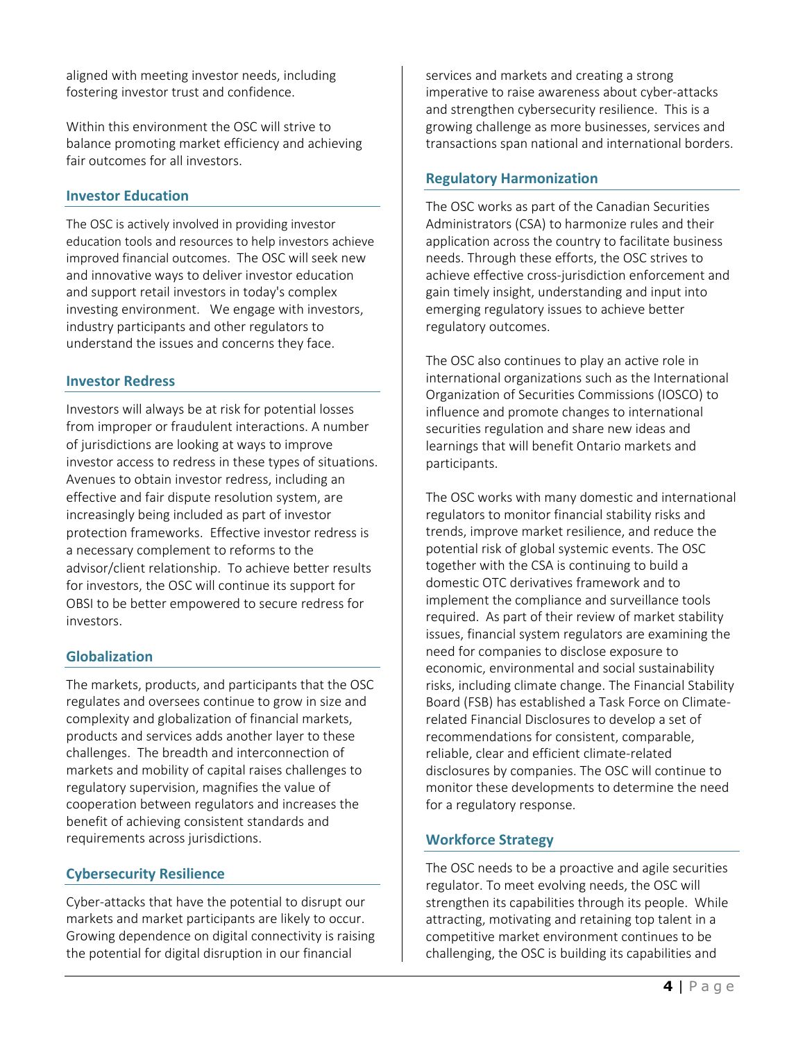aligned with meeting investor needs, including fostering investor trust and confidence.

Within this environment the OSC will strive to balance promoting market efficiency and achieving fair outcomes for all investors.

## **Investor Education**

The OSC is actively involved in providing investor education tools and resources to help investors achieve improved financial outcomes. The OSC will seek new and innovative ways to deliver investor education and support retail investors in today's complex investing environment. We engage with investors, industry participants and other regulators to understand the issues and concerns they face.

#### **Investor Redress**

Investors will always be at risk for potential losses from improper or fraudulent interactions. A number of jurisdictions are looking at ways to improve investor access to redress in these types of situations. Avenues to obtain investor redress, including an effective and fair dispute resolution system, are increasingly being included as part of investor protection frameworks. Effective investor redress is a necessary complement to reforms to the advisor/client relationship. To achieve better results for investors, the OSC will continue its support for OBSI to be better empowered to secure redress for investors.

# **Globalization**

The markets, products, and participants that the OSC regulates and oversees continue to grow in size and complexity and globalization of financial markets, products and services adds another layer to these challenges. The breadth and interconnection of markets and mobility of capital raises challenges to regulatory supervision, magnifies the value of cooperation between regulators and increases the benefit of achieving consistent standards and requirements across jurisdictions.

# **Cybersecurity Resilience**

Cyber-attacks that have the potential to disrupt our markets and market participants are likely to occur. Growing dependence on digital connectivity is raising the potential for digital disruption in our financial

services and markets and creating a strong imperative to raise awareness about cyber-attacks and strengthen cybersecurity resilience. This is a growing challenge as more businesses, services and transactions span national and international borders.

# **Regulatory Harmonization**

The OSC works as part of the Canadian Securities Administrators (CSA) to harmonize rules and their application across the country to facilitate business needs. Through these efforts, the OSC strives to achieve effective cross-jurisdiction enforcement and gain timely insight, understanding and input into emerging regulatory issues to achieve better regulatory outcomes.

The OSC also continues to play an active role in international organizations such as the International Organization of Securities Commissions (IOSCO) to influence and promote changes to international securities regulation and share new ideas and learnings that will benefit Ontario markets and participants.

The OSC works with many domestic and international regulators to monitor financial stability risks and trends, improve market resilience, and reduce the potential risk of global systemic events. The OSC together with the CSA is continuing to build a domestic OTC derivatives framework and to implement the compliance and surveillance tools required. As part of their review of market stability issues, financial system regulators are examining the need for companies to disclose exposure to economic, environmental and social sustainability risks, including climate change. The Financial Stability Board (FSB) has established a Task Force on Climaterelated Financial Disclosures to develop a set of recommendations for consistent, comparable, reliable, clear and efficient climate-related disclosures by companies. The OSC will continue to monitor these developments to determine the need for a regulatory response.

# **Workforce Strategy**

The OSC needs to be a proactive and agile securities regulator. To meet evolving needs, the OSC will strengthen its capabilities through its people. While attracting, motivating and retaining top talent in a competitive market environment continues to be challenging, the OSC is building its capabilities and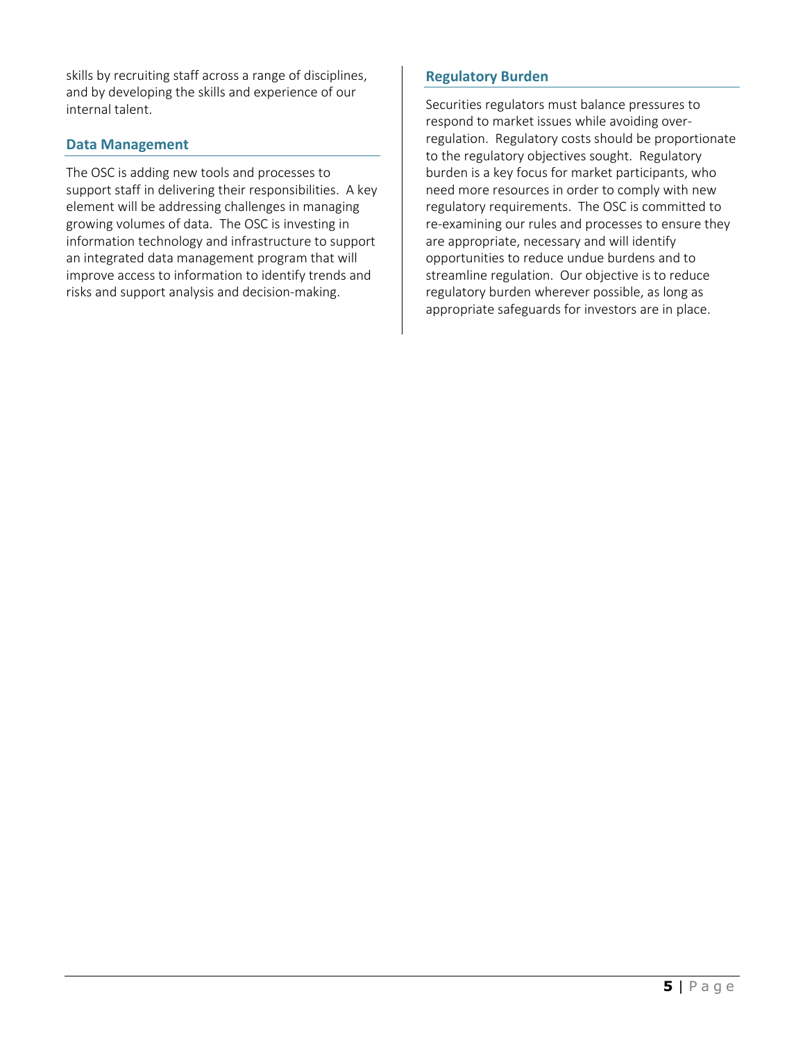skills by recruiting staff across a range of disciplines, and by developing the skills and experience of our internal talent.

# **Data Management**

The OSC is adding new tools and processes to support staff in delivering their responsibilities. A key element will be addressing challenges in managing growing volumes of data. The OSC is investing in information technology and infrastructure to support an integrated data management program that will improve access to information to identify trends and risks and support analysis and decision-making.

## **Regulatory Burden**

Securities regulators must balance pressures to respond to market issues while avoiding overregulation. Regulatory costs should be proportionate to the regulatory objectives sought. Regulatory burden is a key focus for market participants, who need more resources in order to comply with new regulatory requirements. The OSC is committed to re-examining our rules and processes to ensure they are appropriate, necessary and will identify opportunities to reduce undue burdens and to streamline regulation. Our objective is to reduce regulatory burden wherever possible, as long as appropriate safeguards for investors are in place.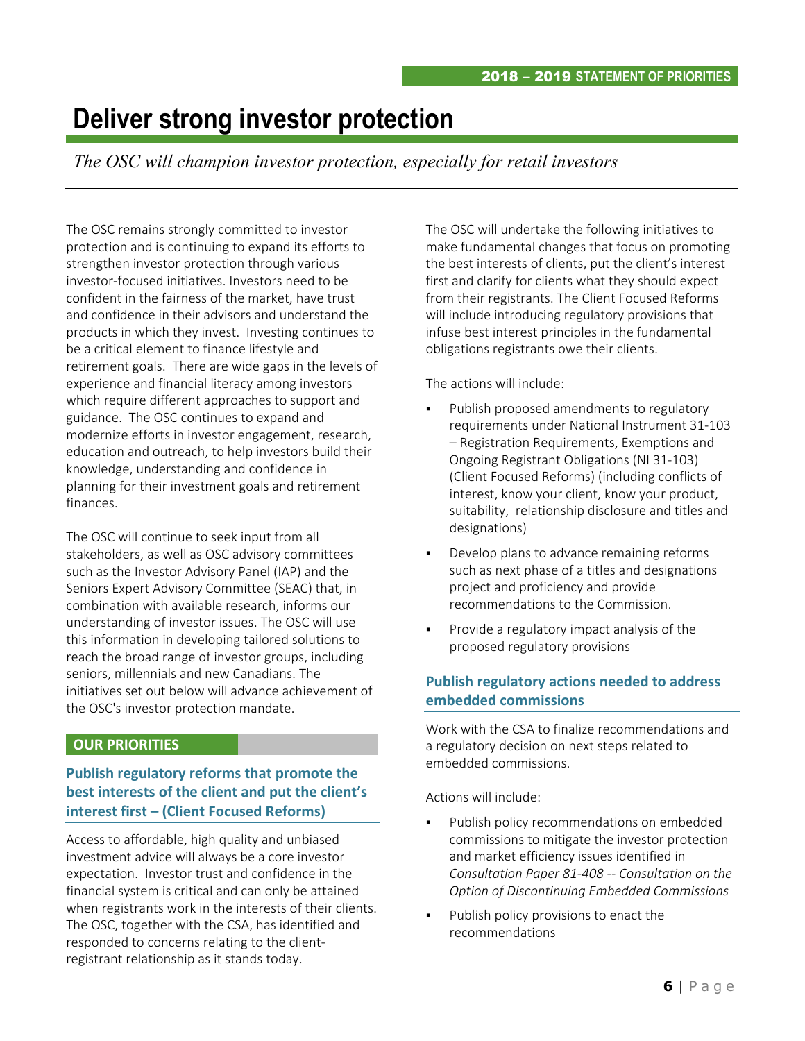# **Deliver strong investor protection**

*The OSC will champion investor protection, especially for retail investors*

The OSC remains strongly committed to investor protection and is continuing to expand its efforts to strengthen investor protection through various investor-focused initiatives. Investors need to be confident in the fairness of the market, have trust and confidence in their advisors and understand the products in which they invest. Investing continues to be a critical element to finance lifestyle and retirement goals. There are wide gaps in the levels of experience and financial literacy among investors which require different approaches to support and guidance. The OSC continues to expand and modernize efforts in investor engagement, research, education and outreach, to help investors build their knowledge, understanding and confidence in planning for their investment goals and retirement finances.

The OSC will continue to seek input from all stakeholders, as well as OSC advisory committees such as the Investor Advisory Panel (IAP) and the Seniors Expert Advisory Committee (SEAC) that, in combination with available research, informs our understanding of investor issues. The OSC will use this information in developing tailored solutions to reach the broad range of investor groups, including seniors, millennials and new Canadians. The initiatives set out below will advance achievement of the OSC's investor protection mandate.

#### **OUR PRIORITIES**

# **Publish regulatory reforms that promote the best interests of the client and put the client's interest first – (Client Focused Reforms)**

Access to affordable, high quality and unbiased investment advice will always be a core investor expectation. Investor trust and confidence in the financial system is critical and can only be attained when registrants work in the interests of their clients. The OSC, together with the CSA, has identified and responded to concerns relating to the clientregistrant relationship as it stands today.

The OSC will undertake the following initiatives to make fundamental changes that focus on promoting the best interests of clients, put the client's interest first and clarify for clients what they should expect from their registrants. The Client Focused Reforms will include introducing regulatory provisions that infuse best interest principles in the fundamental obligations registrants owe their clients.

The actions will include:

- Publish proposed amendments to regulatory requirements under National Instrument 31-103 – Registration Requirements, Exemptions and Ongoing Registrant Obligations (NI 31-103) (Client Focused Reforms) (including conflicts of interest, know your client, know your product, suitability, relationship disclosure and titles and designations)
- Develop plans to advance remaining reforms such as next phase of a titles and designations project and proficiency and provide recommendations to the Commission.
- Provide a regulatory impact analysis of the proposed regulatory provisions

# **Publish regulatory actions needed to address embedded commissions**

Work with the CSA to finalize recommendations and a regulatory decision on next steps related to embedded commissions.

Actions will include:

- Publish policy recommendations on embedded commissions to mitigate the investor protection and market efficiency issues identified in *Consultation Paper 81-408 -- Consultation on the Option of Discontinuing Embedded Commissions*
- Publish policy provisions to enact the recommendations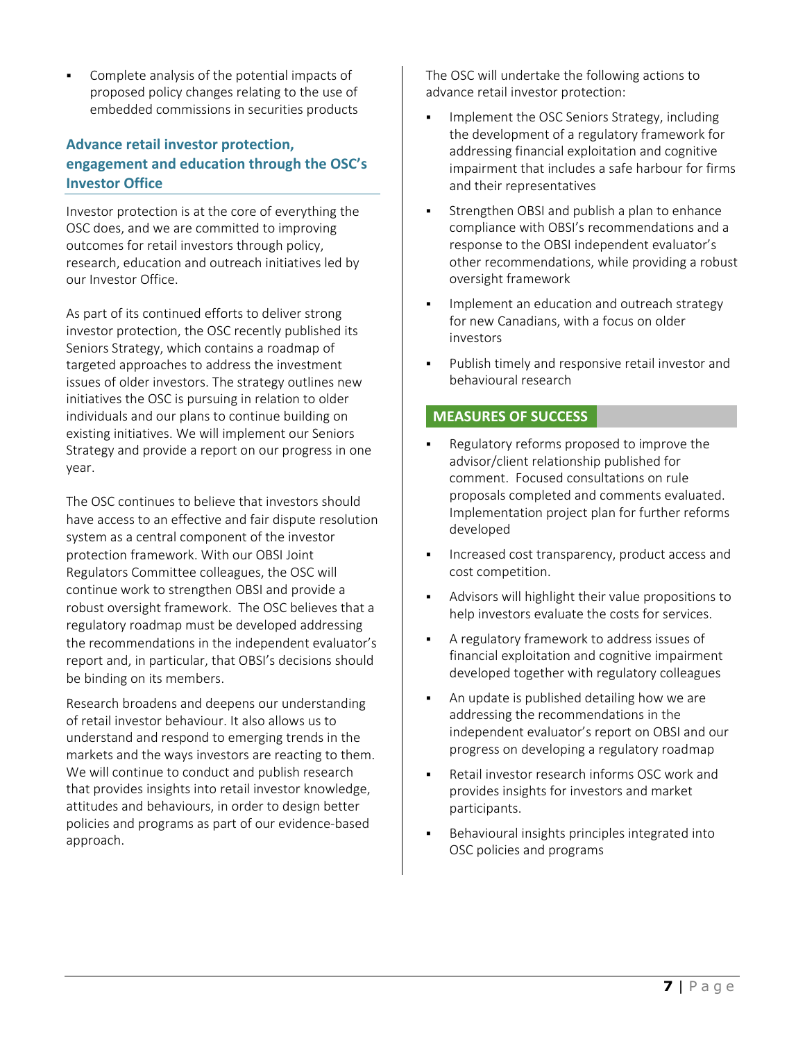Complete analysis of the potential impacts of proposed policy changes relating to the use of embedded commissions in securities products

# **Advance retail investor protection, engagement and education through the OSC's Investor Office**

Investor protection is at the core of everything the OSC does, and we are committed to improving outcomes for retail investors through policy, research, education and outreach initiatives led by our Investor Office.

As part of its continued efforts to deliver strong investor protection, the OSC recently published its Seniors Strategy, which contains a roadmap of targeted approaches to address the investment issues of older investors. The strategy outlines new initiatives the OSC is pursuing in relation to older individuals and our plans to continue building on existing initiatives. We will implement our Seniors Strategy and provide a report on our progress in one year.

The OSC continues to believe that investors should have access to an effective and fair dispute resolution system as a central component of the investor protection framework. With our OBSI Joint Regulators Committee colleagues, the OSC will continue work to strengthen OBSI and provide a robust oversight framework. The OSC believes that a regulatory roadmap must be developed addressing the recommendations in the independent evaluator's report and, in particular, that OBSI's decisions should be binding on its members.

Research broadens and deepens our understanding of retail investor behaviour. It also allows us to understand and respond to emerging trends in the markets and the ways investors are reacting to them. We will continue to conduct and publish research that provides insights into retail investor knowledge, attitudes and behaviours, in order to design better policies and programs as part of our evidence-based approach.

The OSC will undertake the following actions to advance retail investor protection:

- Implement the OSC Seniors Strategy, including the development of a regulatory framework for addressing financial exploitation and cognitive impairment that includes a safe harbour for firms and their representatives
- Strengthen OBSI and publish a plan to enhance compliance with OBSI's recommendations and a response to the OBSI independent evaluator's other recommendations, while providing a robust oversight framework
- Implement an education and outreach strategy for new Canadians, with a focus on older investors
- Publish timely and responsive retail investor and behavioural research

- Regulatory reforms proposed to improve the advisor/client relationship published for comment. Focused consultations on rule proposals completed and comments evaluated. Implementation project plan for further reforms developed
- Increased cost transparency, product access and cost competition.
- Advisors will highlight their value propositions to help investors evaluate the costs for services.
- A regulatory framework to address issues of financial exploitation and cognitive impairment developed together with regulatory colleagues
- An update is published detailing how we are addressing the recommendations in the independent evaluator's report on OBSI and our progress on developing a regulatory roadmap
- Retail investor research informs OSC work and provides insights for investors and market participants.
- Behavioural insights principles integrated into OSC policies and programs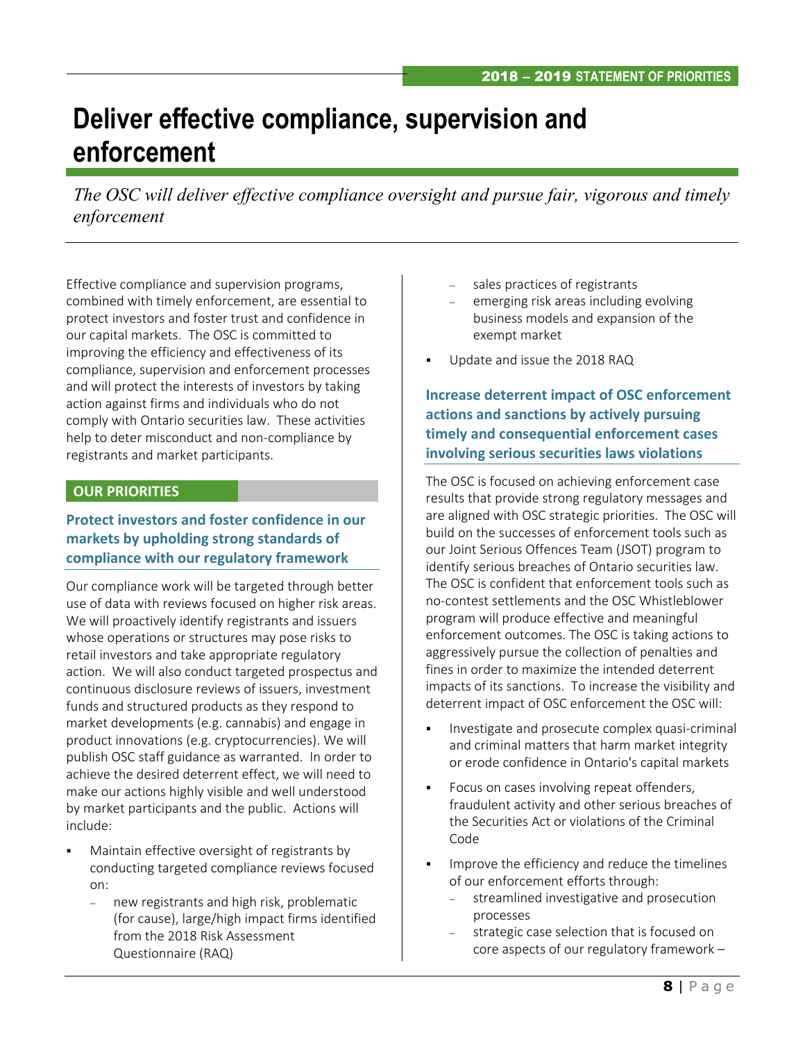# **Deliver effective compliance, supervision and enforcement**

*The OSC will deliver effective compliance oversight and pursue fair, vigorous and timely enforcement*

Effective compliance and supervision programs, combined with timely enforcement, are essential to protect investors and foster trust and confidence in our capital markets. The OSC is committed to improving the efficiency and effectiveness of its compliance, supervision and enforcement processes and will protect the interests of investors by taking action against firms and individuals who do not comply with Ontario securities law. These activities help to deter misconduct and non-compliance by registrants and market participants.

#### **OUR PRIORITIES**

# **Protect investors and foster confidence in our markets by upholding strong standards of compliance with our regulatory framework**

Our compliance work will be targeted through better use of data with reviews focused on higher risk areas. We will proactively identify registrants and issuers whose operations or structures may pose risks to retail investors and take appropriate regulatory action. We will also conduct targeted prospectus and continuous disclosure reviews of issuers, investment funds and structured products as they respond to market developments (e.g. cannabis) and engage in product innovations (e.g. cryptocurrencies). We will publish OSC staff guidance as warranted. In order to achieve the desired deterrent effect, we will need to make our actions highly visible and well understood by market participants and the public. Actions will include:

- Maintain effective oversight of registrants by conducting targeted compliance reviews focused on:
	- new registrants and high risk, problematic (for cause), large/high impact firms identified from the 2018 Risk Assessment Questionnaire (RAQ)
- sales practices of registrants
- emerging risk areas including evolving business models and expansion of the exempt market
- Update and issue the 2018 RAQ

# **Increase deterrent impact of OSC enforcement actions and sanctions by actively pursuing timely and consequential enforcement cases involving serious securities laws violations**

The OSC is focused on achieving enforcement case results that provide strong regulatory messages and are aligned with OSC strategic priorities. The OSC will build on the successes of enforcement tools such as our Joint Serious Offences Team (JSOT) program to identify serious breaches of Ontario securities law. The OSC is confident that enforcement tools such as no-contest settlements and the OSC Whistleblower program will produce effective and meaningful enforcement outcomes. The OSC is taking actions to aggressively pursue the collection of penalties and fines in order to maximize the intended deterrent impacts of its sanctions. To increase the visibility and deterrent impact of OSC enforcement the OSC will:

- Investigate and prosecute complex quasi-criminal and criminal matters that harm market integrity or erode confidence in Ontario's capital markets
- Focus on cases involving repeat offenders, fraudulent activity and other serious breaches of the Securities Act or violations of the Criminal Code
- Improve the efficiency and reduce the timelines of our enforcement efforts through:
	- streamlined investigative and prosecution processes
	- strategic case selection that is focused on core aspects of our regulatory framework –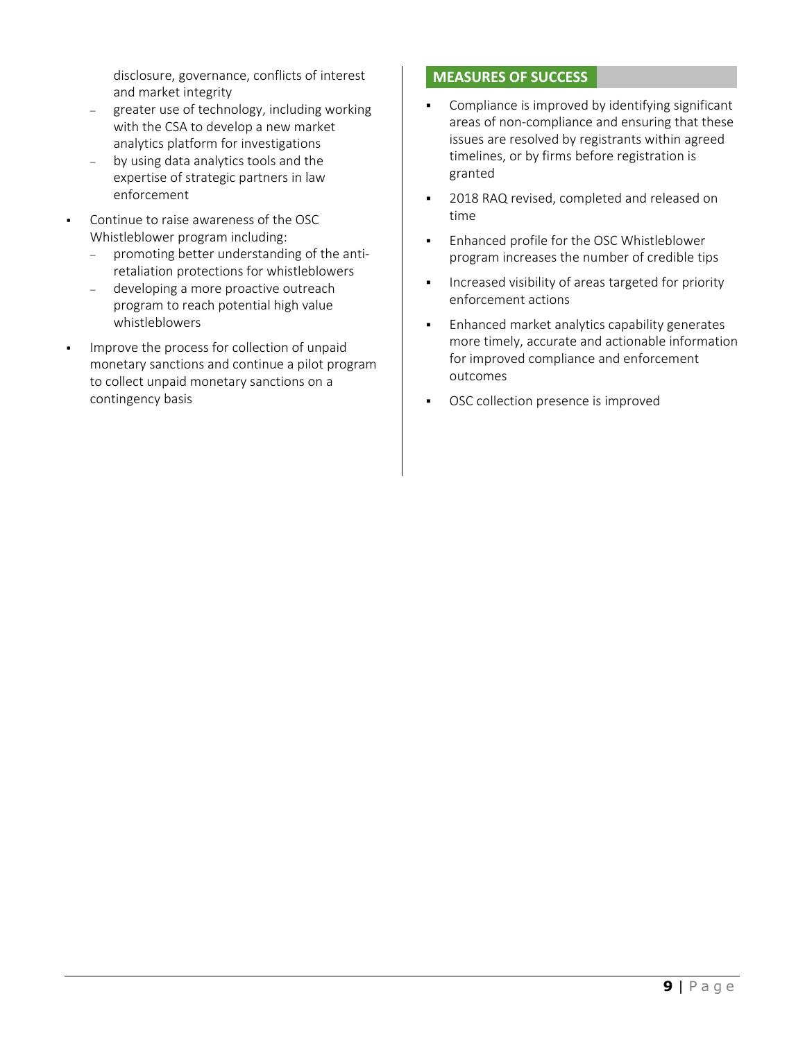disclosure, governance, conflicts of interest and market integrity

- greater use of technology, including working with the CSA to develop a new market analytics platform for investigations
- by using data analytics tools and the expertise of strategic partners in law enforcement
- Continue to raise awareness of the OSC Whistleblower program including:
	- − promoting better understanding of the antiretaliation protections for whistleblowers
	- − developing a more proactive outreach program to reach potential high value whistleblowers
- Improve the process for collection of unpaid monetary sanctions and continue a pilot program to collect unpaid monetary sanctions on a contingency basis

- Compliance is improved by identifying significant areas of non-compliance and ensuring that these issues are resolved by registrants within agreed timelines, or by firms before registration is granted
- 2018 RAQ revised, completed and released on time
- Enhanced profile for the OSC Whistleblower program increases the number of credible tips
- **Increased visibility of areas targeted for priority** enforcement actions
- Enhanced market analytics capability generates more timely, accurate and actionable information for improved compliance and enforcement outcomes
- OSC collection presence is improved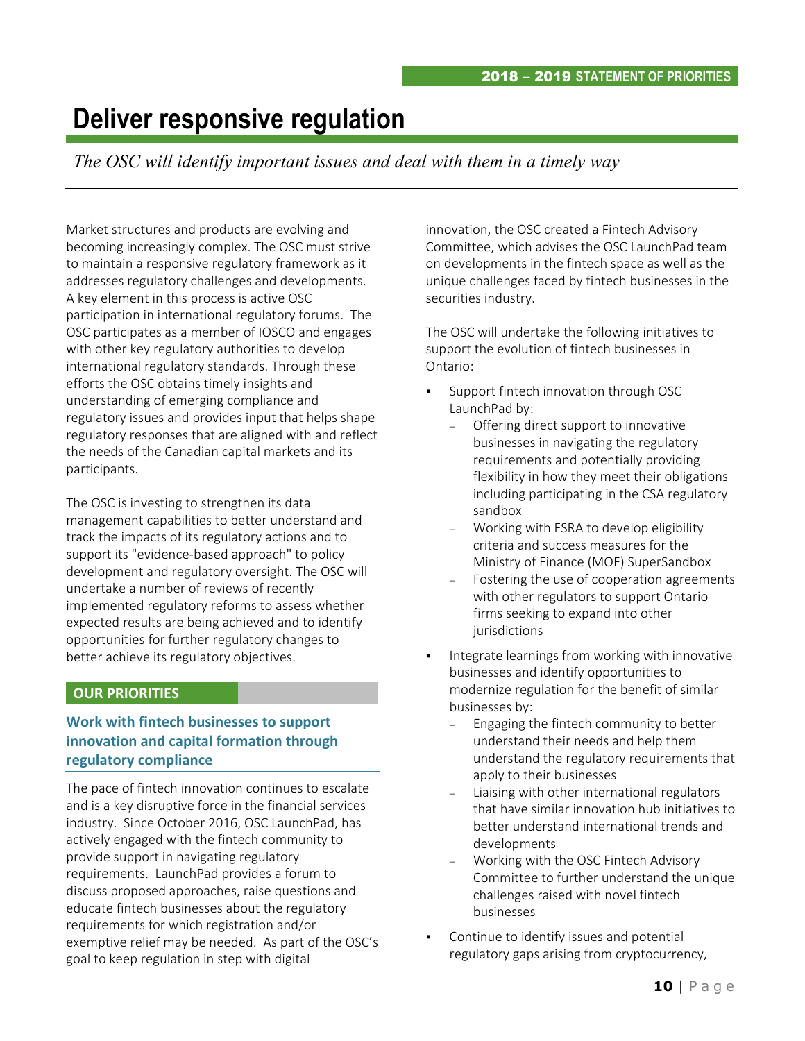# **Deliver responsive regulation**

*The OSC will identify important issues and deal with them in a timely way*

Market structures and products are evolving and becoming increasingly complex. The OSC must strive to maintain a responsive regulatory framework as it addresses regulatory challenges and developments. A key element in this process is active OSC participation in international regulatory forums. The OSC participates as a member of IOSCO and engages with other key regulatory authorities to develop international regulatory standards. Through these efforts the OSC obtains timely insights and understanding of emerging compliance and regulatory issues and provides input that helps shape regulatory responses that are aligned with and reflect the needs of the Canadian capital markets and its participants.

The OSC is investing to strengthen its data management capabilities to better understand and track the impacts of its regulatory actions and to support its "evidence-based approach" to policy development and regulatory oversight. The OSC will undertake a number of reviews of recently implemented regulatory reforms to assess whether expected results are being achieved and to identify opportunities for further regulatory changes to better achieve its regulatory objectives.

#### **OUR PRIORITIES**

# **Work with fintech businesses to support innovation and capital formation through regulatory compliance**

The pace of fintech innovation continues to escalate and is a key disruptive force in the financial services industry. Since October 2016, OSC LaunchPad, has actively engaged with the fintech community to provide support in navigating regulatory requirements. LaunchPad provides a forum to discuss proposed approaches, raise questions and educate fintech businesses about the regulatory requirements for which registration and/or exemptive relief may be needed. As part of the OSC's goal to keep regulation in step with digital

innovation, the OSC created a Fintech Advisory Committee, which advises the OSC LaunchPad team on developments in the fintech space as well as the unique challenges faced by fintech businesses in the securities industry.

The OSC will undertake the following initiatives to support the evolution of fintech businesses in Ontario:

- Support fintech innovation through OSC LaunchPad by:
	- − Offering direct support to innovative businesses in navigating the regulatory requirements and potentially providing flexibility in how they meet their obligations including participating in the CSA regulatory sandbox
	- Working with FSRA to develop eligibility criteria and success measures for the Ministry of Finance (MOF) SuperSandbox
	- Fostering the use of cooperation agreements with other regulators to support Ontario firms seeking to expand into other jurisdictions
- Integrate learnings from working with innovative businesses and identify opportunities to modernize regulation for the benefit of similar businesses by:
	- Engaging the fintech community to better understand their needs and help them understand the regulatory requirements that apply to their businesses
	- Liaising with other international regulators that have similar innovation hub initiatives to better understand international trends and developments
	- − Working with the OSC Fintech Advisory Committee to further understand the unique challenges raised with novel fintech businesses
- Continue to identify issues and potential regulatory gaps arising from cryptocurrency,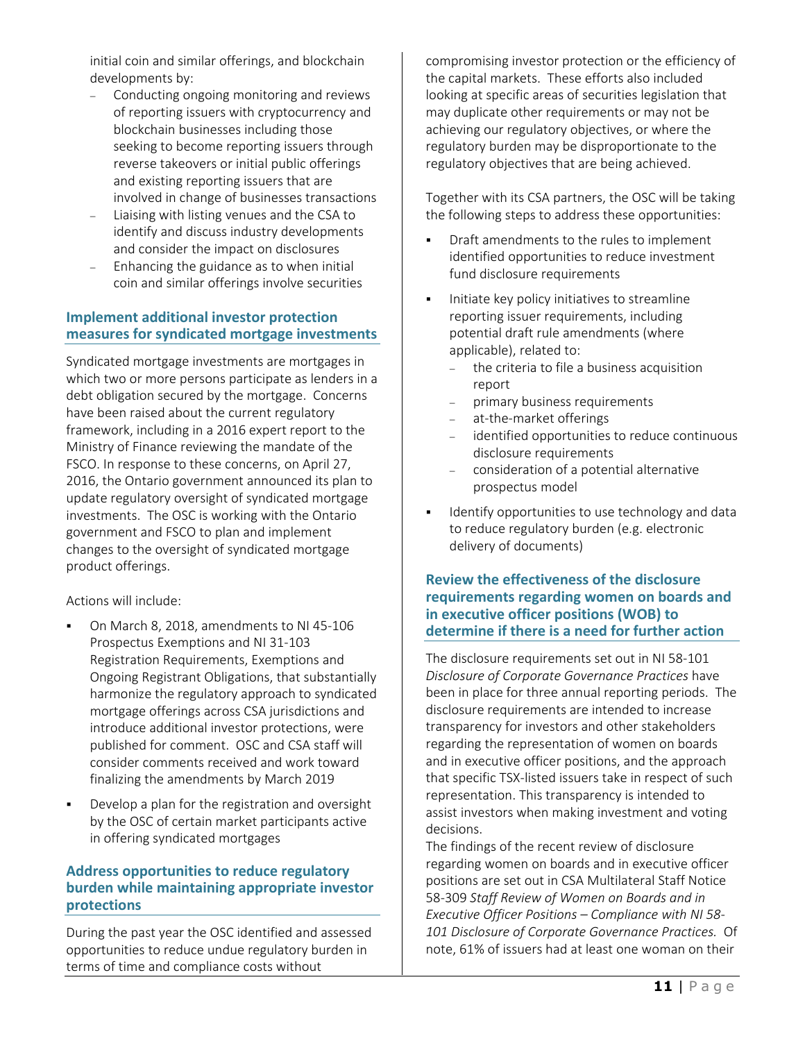initial coin and similar offerings, and blockchain developments by:

- − Conducting ongoing monitoring and reviews of reporting issuers with cryptocurrency and blockchain businesses including those seeking to become reporting issuers through reverse takeovers or initial public offerings and existing reporting issuers that are involved in change of businesses transactions
- Liaising with listing venues and the CSA to identify and discuss industry developments and consider the impact on disclosures
- Enhancing the guidance as to when initial coin and similar offerings involve securities

## **Implement additional investor protection measures for syndicated mortgage investments**

Syndicated mortgage investments are mortgages in which two or more persons participate as lenders in a debt obligation secured by the mortgage. Concerns have been raised about the current regulatory framework, including in a 2016 expert report to the Ministry of Finance reviewing the mandate of the FSCO. In response to these concerns, on April 27, 2016, the Ontario government announced its plan to update regulatory oversight of syndicated mortgage investments. The OSC is working with the Ontario government and FSCO to plan and implement changes to the oversight of syndicated mortgage product offerings.

Actions will include:

- On March 8, 2018, amendments to NI 45-106 Prospectus Exemptions and NI 31-103 Registration Requirements, Exemptions and Ongoing Registrant Obligations, that substantially harmonize the regulatory approach to syndicated mortgage offerings across CSA jurisdictions and introduce additional investor protections, were published for comment. OSC and CSA staff will consider comments received and work toward finalizing the amendments by March 2019
- Develop a plan for the registration and oversight by the OSC of certain market participants active in offering syndicated mortgages

#### **Address opportunities to reduce regulatory burden while maintaining appropriate investor protections**

During the past year the OSC identified and assessed opportunities to reduce undue regulatory burden in terms of time and compliance costs without

compromising investor protection or the efficiency of the capital markets. These efforts also included looking at specific areas of securities legislation that may duplicate other requirements or may not be achieving our regulatory objectives, or where the regulatory burden may be disproportionate to the regulatory objectives that are being achieved.

Together with its CSA partners, the OSC will be taking the following steps to address these opportunities:

- Draft amendments to the rules to implement identified opportunities to reduce investment fund disclosure requirements
- Initiate key policy initiatives to streamline reporting issuer requirements, including potential draft rule amendments (where applicable), related to:
	- the criteria to file a business acquisition report
	- primary business requirements
	- at-the-market offerings
	- identified opportunities to reduce continuous disclosure requirements
	- − consideration of a potential alternative prospectus model
- Identify opportunities to use technology and data to reduce regulatory burden (e.g. electronic delivery of documents)

## **Review the effectiveness of the disclosure requirements regarding women on boards and in executive officer positions (WOB) to determine if there is a need for further action**

The disclosure requirements set out in NI 58-101 *Disclosure of Corporate Governance Practices* have been in place for three annual reporting periods. The disclosure requirements are intended to increase transparency for investors and other stakeholders regarding the representation of women on boards and in executive officer positions, and the approach that specific TSX-listed issuers take in respect of such representation. This transparency is intended to assist investors when making investment and voting decisions.

The findings of the recent review of disclosure regarding women on boards and in executive officer positions are set out in CSA Multilateral Staff Notice 58-309 *Staff Review of Women on Boards and in Executive Officer Positions – Compliance with NI 58- 101 Disclosure of Corporate Governance Practices.* Of note, 61% of issuers had at least one woman on their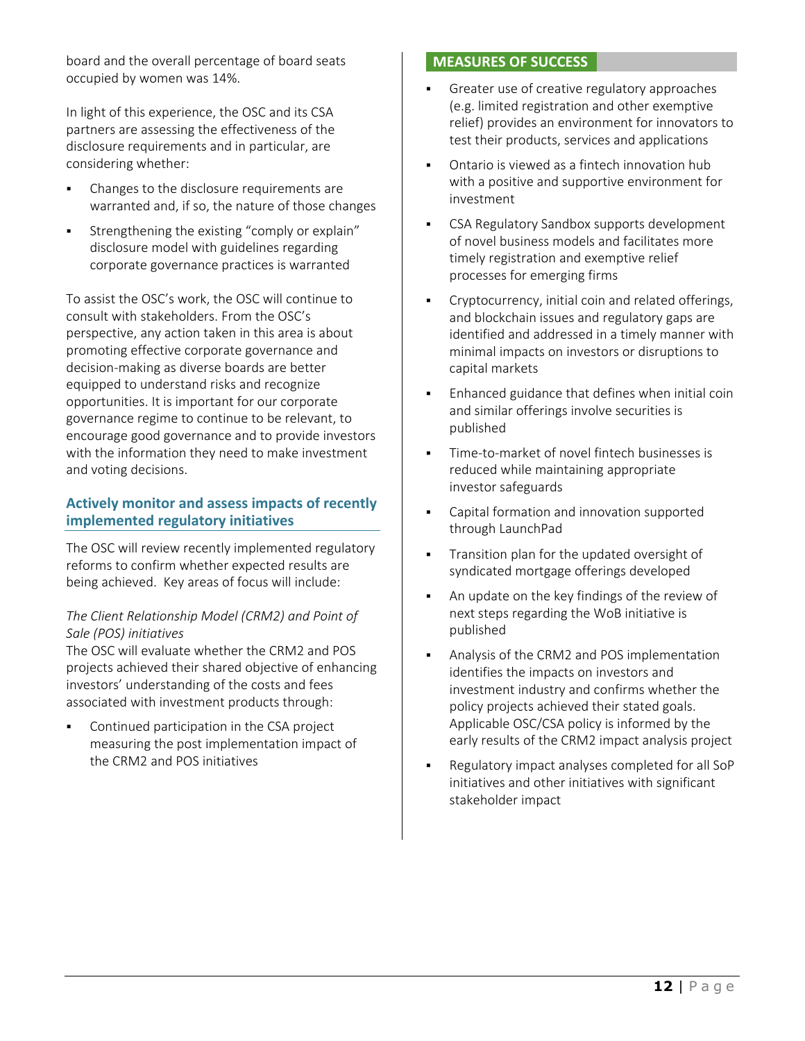board and the overall percentage of board seats occupied by women was 14%.

In light of this experience, the OSC and its CSA partners are assessing the effectiveness of the disclosure requirements and in particular, are considering whether:

- Changes to the disclosure requirements are warranted and, if so, the nature of those changes
- Strengthening the existing "comply or explain" disclosure model with guidelines regarding corporate governance practices is warranted

To assist the OSC's work, the OSC will continue to consult with stakeholders. From the OSC's perspective, any action taken in this area is about promoting effective corporate governance and decision-making as diverse boards are better equipped to understand risks and recognize opportunities. It is important for our corporate governance regime to continue to be relevant, to encourage good governance and to provide investors with the information they need to make investment and voting decisions.

## **Actively monitor and assess impacts of recently implemented regulatory initiatives**

The OSC will review recently implemented regulatory reforms to confirm whether expected results are being achieved. Key areas of focus will include:

#### *The Client Relationship Model (CRM2) and Point of Sale (POS) initiatives*

The OSC will evaluate whether the CRM2 and POS projects achieved their shared objective of enhancing investors' understanding of the costs and fees associated with investment products through:

 Continued participation in the CSA project measuring the post implementation impact of the CRM2 and POS initiatives

- Greater use of creative regulatory approaches (e.g. limited registration and other exemptive relief) provides an environment for innovators to test their products, services and applications
- Ontario is viewed as a fintech innovation hub with a positive and supportive environment for investment
- CSA Regulatory Sandbox supports development of novel business models and facilitates more timely registration and exemptive relief processes for emerging firms
- **EXECRY** Cryptocurrency, initial coin and related offerings, and blockchain issues and regulatory gaps are identified and addressed in a timely manner with minimal impacts on investors or disruptions to capital markets
- Enhanced guidance that defines when initial coin and similar offerings involve securities is published
- Time-to-market of novel fintech businesses is reduced while maintaining appropriate investor safeguards
- Capital formation and innovation supported through LaunchPad
- **Transition plan for the updated oversight of** syndicated mortgage offerings developed
- An update on the key findings of the review of next steps regarding the WoB initiative is published
- Analysis of the CRM2 and POS implementation identifies the impacts on investors and investment industry and confirms whether the policy projects achieved their stated goals. Applicable OSC/CSA policy is informed by the early results of the CRM2 impact analysis project
- Regulatory impact analyses completed for all SoP initiatives and other initiatives with significant stakeholder impact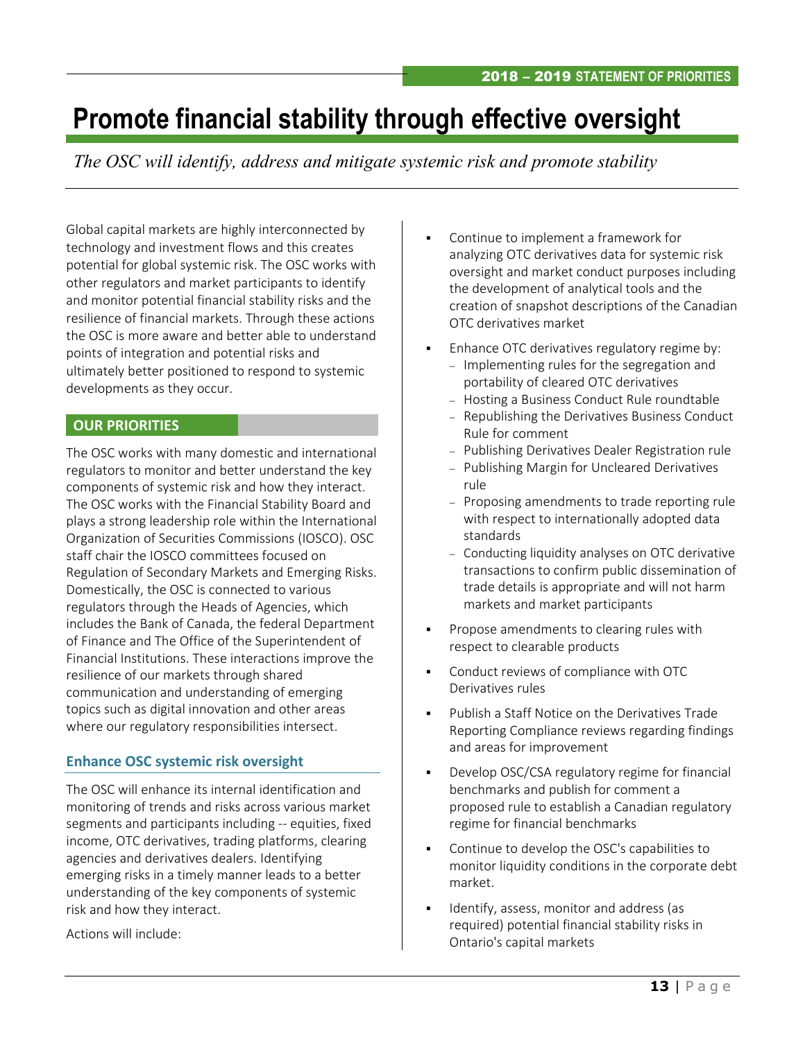# **Promote financial stability through effective oversight**

*The OSC will identify, address and mitigate systemic risk and promote stability* 

Global capital markets are highly interconnected by technology and investment flows and this creates potential for global systemic risk. The OSC works with other regulators and market participants to identify and monitor potential financial stability risks and the resilience of financial markets. Through these actions the OSC is more aware and better able to understand points of integration and potential risks and ultimately better positioned to respond to systemic developments as they occur.

# **OUR PRIORITIES**

The OSC works with many domestic and international regulators to monitor and better understand the key components of systemic risk and how they interact. The OSC works with the Financial Stability Board and plays a strong leadership role within the International Organization of Securities Commissions (IOSCO). OSC staff chair the IOSCO committees focused on Regulation of Secondary Markets and Emerging Risks. Domestically, the OSC is connected to various regulators through the Heads of Agencies, which includes the Bank of Canada, the federal Department of Finance and The Office of the Superintendent of Financial Institutions. These interactions improve the resilience of our markets through shared communication and understanding of emerging topics such as digital innovation and other areas where our regulatory responsibilities intersect.

# **Enhance OSC systemic risk oversight**

The OSC will enhance its internal identification and monitoring of trends and risks across various market segments and participants including -- equities, fixed income, OTC derivatives, trading platforms, clearing agencies and derivatives dealers. Identifying emerging risks in a timely manner leads to a better understanding of the key components of systemic risk and how they interact.

Actions will include:

- Continue to implement a framework for analyzing OTC derivatives data for systemic risk oversight and market conduct purposes including the development of analytical tools and the creation of snapshot descriptions of the Canadian OTC derivatives market
- Enhance OTC derivatives regulatory regime by: − Implementing rules for the segregation and portability of cleared OTC derivatives
	- − Hosting a Business Conduct Rule roundtable
	- − Republishing the Derivatives Business Conduct Rule for comment
	- − Publishing Derivatives Dealer Registration rule
	- − Publishing Margin for Uncleared Derivatives rule
	- − Proposing amendments to trade reporting rule with respect to internationally adopted data standards
	- − Conducting liquidity analyses on OTC derivative transactions to confirm public dissemination of trade details is appropriate and will not harm markets and market participants
- Propose amendments to clearing rules with respect to clearable products
- Conduct reviews of compliance with OTC Derivatives rules
- Publish a Staff Notice on the Derivatives Trade Reporting Compliance reviews regarding findings and areas for improvement
- Develop OSC/CSA regulatory regime for financial benchmarks and publish for comment a proposed rule to establish a Canadian regulatory regime for financial benchmarks
- Continue to develop the OSC's capabilities to monitor liquidity conditions in the corporate debt market.
- Identify, assess, monitor and address (as required) potential financial stability risks in Ontario's capital markets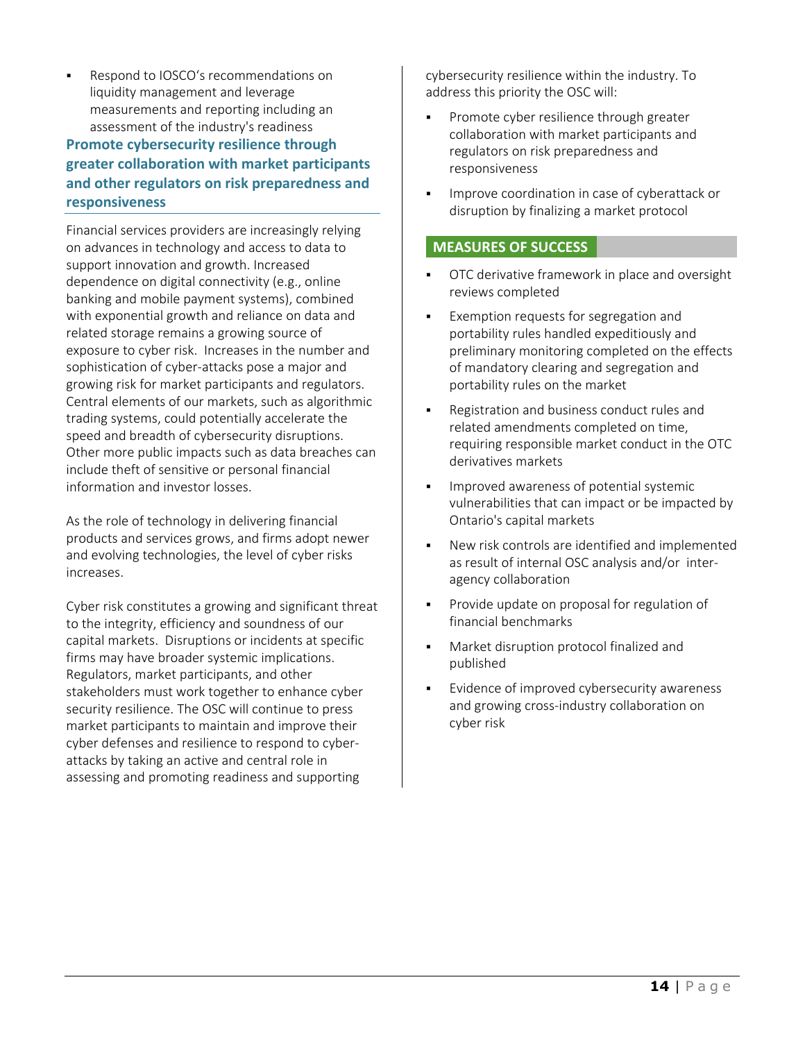Respond to IOSCO's recommendations on liquidity management and leverage measurements and reporting including an assessment of the industry's readiness

# **Promote cybersecurity resilience through greater collaboration with market participants and other regulators on risk preparedness and responsiveness**

Financial services providers are increasingly relying on advances in technology and access to data to support innovation and growth. Increased dependence on digital connectivity (e.g., online banking and mobile payment systems), combined with exponential growth and reliance on data and related storage remains a growing source of exposure to cyber risk. Increases in the number and sophistication of cyber-attacks pose a major and growing risk for market participants and regulators. Central elements of our markets, such as algorithmic trading systems, could potentially accelerate the speed and breadth of cybersecurity disruptions. Other more public impacts such as data breaches can include theft of sensitive or personal financial information and investor losses.

As the role of technology in delivering financial products and services grows, and firms adopt newer and evolving technologies, the level of cyber risks increases.

Cyber risk constitutes a growing and significant threat to the integrity, efficiency and soundness of our capital markets. Disruptions or incidents at specific firms may have broader systemic implications. Regulators, market participants, and other stakeholders must work together to enhance cyber security resilience. The OSC will continue to press market participants to maintain and improve their cyber defenses and resilience to respond to cyberattacks by taking an active and central role in assessing and promoting readiness and supporting

cybersecurity resilience within the industry. To address this priority the OSC will:

- Promote cyber resilience through greater collaboration with market participants and regulators on risk preparedness and responsiveness
- Improve coordination in case of cyberattack or disruption by finalizing a market protocol

- OTC derivative framework in place and oversight reviews completed
- Exemption requests for segregation and portability rules handled expeditiously and preliminary monitoring completed on the effects of mandatory clearing and segregation and portability rules on the market
- Registration and business conduct rules and related amendments completed on time, requiring responsible market conduct in the OTC derivatives markets
- Improved awareness of potential systemic vulnerabilities that can impact or be impacted by Ontario's capital markets
- New risk controls are identified and implemented as result of internal OSC analysis and/or interagency collaboration
- Provide update on proposal for regulation of financial benchmarks
- Market disruption protocol finalized and published
- **Evidence of improved cybersecurity awareness** and growing cross-industry collaboration on cyber risk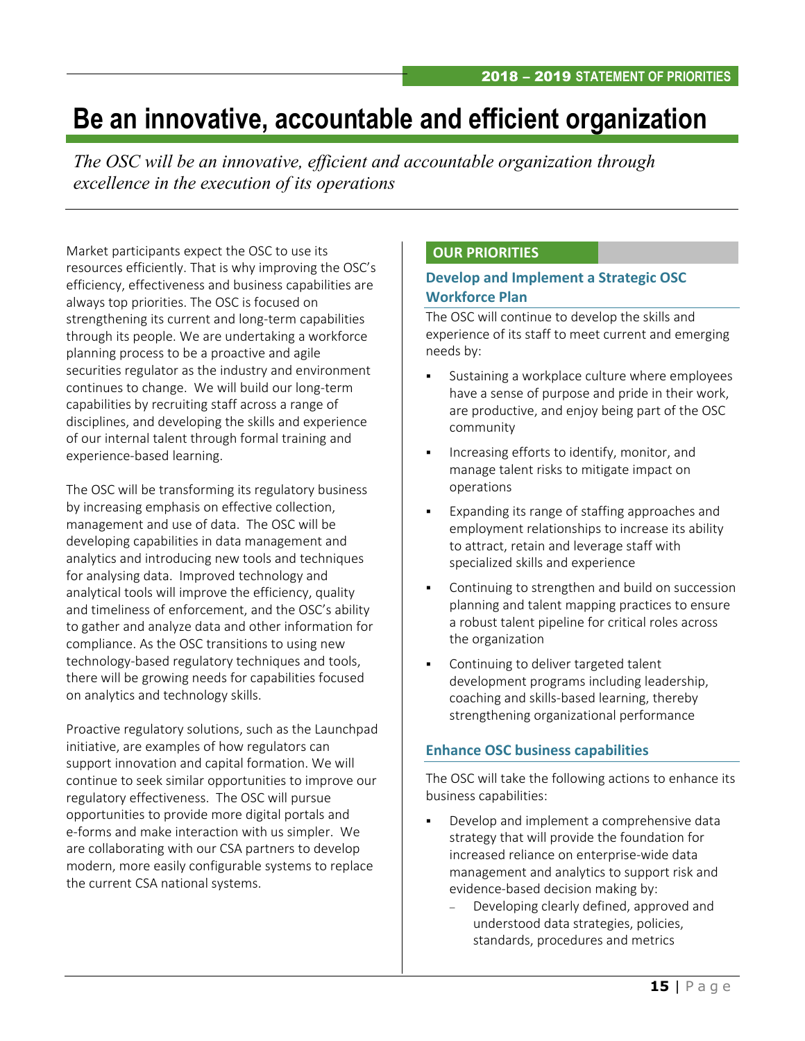# **Be an innovative, accountable and efficient organization**

*The OSC will be an innovative, efficient and accountable organization through excellence in the execution of its operations*

Market participants expect the OSC to use its resources efficiently. That is why improving the OSC's efficiency, effectiveness and business capabilities are always top priorities. The OSC is focused on strengthening its current and long-term capabilities through its people. We are undertaking a workforce planning process to be a proactive and agile securities regulator as the industry and environment continues to change. We will build our long-term capabilities by recruiting staff across a range of disciplines, and developing the skills and experience of our internal talent through formal training and experience-based learning.

The OSC will be transforming its regulatory business by increasing emphasis on effective collection, management and use of data. The OSC will be developing capabilities in data management and analytics and introducing new tools and techniques for analysing data. Improved technology and analytical tools will improve the efficiency, quality and timeliness of enforcement, and the OSC's ability to gather and analyze data and other information for compliance. As the OSC transitions to using new technology-based regulatory techniques and tools, there will be growing needs for capabilities focused on analytics and technology skills.

Proactive regulatory solutions, such as the Launchpad initiative, are examples of how regulators can support innovation and capital formation. We will continue to seek similar opportunities to improve our regulatory effectiveness. The OSC will pursue opportunities to provide more digital portals and e-forms and make interaction with us simpler. We are collaborating with our CSA partners to develop modern, more easily configurable systems to replace the current CSA national systems.

# **OUR PRIORITIES**

# **Develop and Implement a Strategic OSC Workforce Plan**

The OSC will continue to develop the skills and experience of its staff to meet current and emerging needs by:

- Sustaining a workplace culture where employees have a sense of purpose and pride in their work, are productive, and enjoy being part of the OSC community
- Increasing efforts to identify, monitor, and manage talent risks to mitigate impact on operations
- Expanding its range of staffing approaches and employment relationships to increase its ability to attract, retain and leverage staff with specialized skills and experience
- Continuing to strengthen and build on succession planning and talent mapping practices to ensure a robust talent pipeline for critical roles across the organization
- Continuing to deliver targeted talent development programs including leadership, coaching and skills-based learning, thereby strengthening organizational performance

# **Enhance OSC business capabilities**

The OSC will take the following actions to enhance its business capabilities:

- Develop and implement a comprehensive data strategy that will provide the foundation for increased reliance on enterprise-wide data management and analytics to support risk and evidence-based decision making by:
	- Developing clearly defined, approved and understood data strategies, policies, standards, procedures and metrics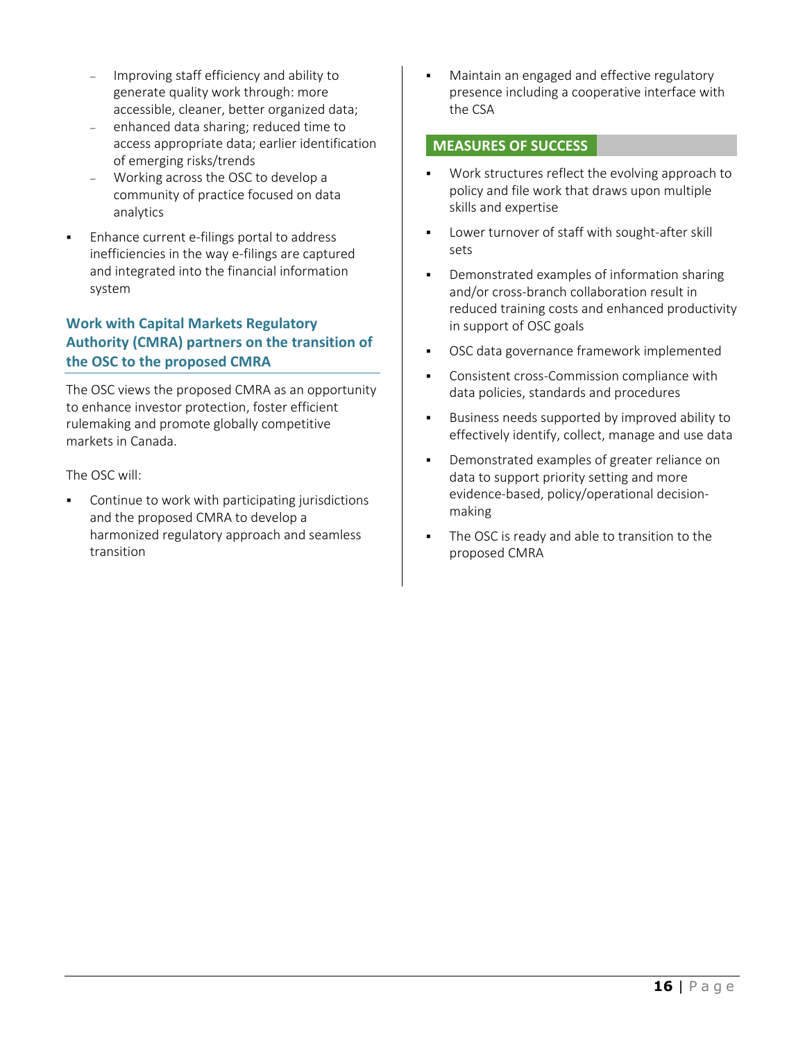- Improving staff efficiency and ability to generate quality work through: more accessible, cleaner, better organized data;
- enhanced data sharing; reduced time to access appropriate data; earlier identification of emerging risks/trends
- − Working across the OSC to develop a community of practice focused on data analytics
- Enhance current e-filings portal to address inefficiencies in the way e-filings are captured and integrated into the financial information system

# **Work with Capital Markets Regulatory Authority (CMRA) partners on the transition of the OSC to the proposed CMRA**

The OSC views the proposed CMRA as an opportunity to enhance investor protection, foster efficient rulemaking and promote globally competitive markets in Canada.

The OSC will:

• Continue to work with participating jurisdictions and the proposed CMRA to develop a harmonized regulatory approach and seamless transition

 Maintain an engaged and effective regulatory presence including a cooperative interface with the CSA

- Work structures reflect the evolving approach to policy and file work that draws upon multiple skills and expertise
- Lower turnover of staff with sought-after skill sets
- Demonstrated examples of information sharing and/or cross-branch collaboration result in reduced training costs and enhanced productivity in support of OSC goals
- OSC data governance framework implemented
- Consistent cross-Commission compliance with data policies, standards and procedures
- Business needs supported by improved ability to effectively identify, collect, manage and use data
- Demonstrated examples of greater reliance on data to support priority setting and more evidence-based, policy/operational decisionmaking
- The OSC is ready and able to transition to the proposed CMRA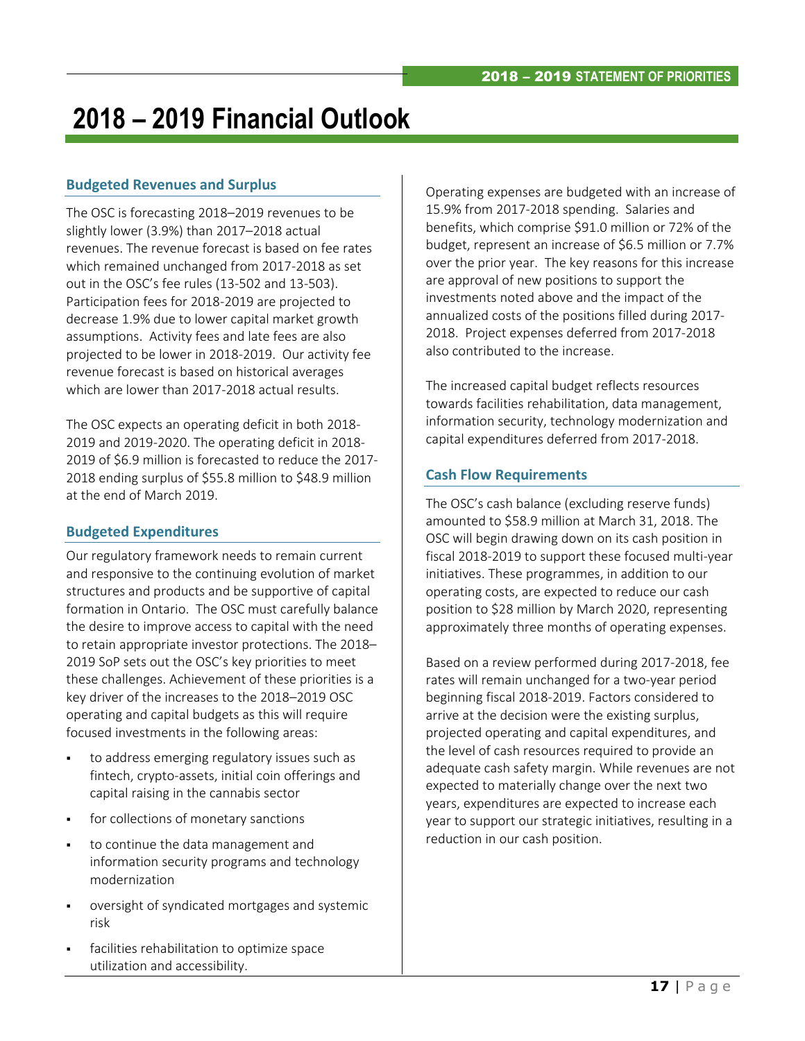# **2018 – 2019 Financial Outlook**

#### **Budgeted Revenues and Surplus**

The OSC is forecasting 2018–2019 revenues to be slightly lower (3.9%) than 2017–2018 actual revenues. The revenue forecast is based on fee rates which remained unchanged from 2017-2018 as set out in the OSC's fee rules (13-502 and 13-503). Participation fees for 2018-2019 are projected to decrease 1.9% due to lower capital market growth assumptions. Activity fees and late fees are also projected to be lower in 2018-2019. Our activity fee revenue forecast is based on historical averages which are lower than 2017-2018 actual results.

The OSC expects an operating deficit in both 2018- 2019 and 2019-2020. The operating deficit in 2018- 2019 of \$6.9 million is forecasted to reduce the 2017- 2018 ending surplus of \$55.8 million to \$48.9 million at the end of March 2019.

# **Budgeted Expenditures**

Our regulatory framework needs to remain current and responsive to the continuing evolution of market structures and products and be supportive of capital formation in Ontario. The OSC must carefully balance the desire to improve access to capital with the need to retain appropriate investor protections. The 2018– 2019 SoP sets out the OSC's key priorities to meet these challenges. Achievement of these priorities is a key driver of the increases to the 2018–2019 OSC operating and capital budgets as this will require focused investments in the following areas:

- to address emerging regulatory issues such as fintech, crypto-assets, initial coin offerings and capital raising in the cannabis sector
- for collections of monetary sanctions
- to continue the data management and information security programs and technology modernization
- oversight of syndicated mortgages and systemic risk
- facilities rehabilitation to optimize space utilization and accessibility.

Operating expenses are budgeted with an increase of 15.9% from 2017-2018 spending. Salaries and benefits, which comprise \$91.0 million or 72% of the budget, represent an increase of \$6.5 million or 7.7% over the prior year. The key reasons for this increase are approval of new positions to support the investments noted above and the impact of the annualized costs of the positions filled during 2017- 2018. Project expenses deferred from 2017-2018 also contributed to the increase.

The increased capital budget reflects resources towards facilities rehabilitation, data management, information security, technology modernization and capital expenditures deferred from 2017-2018.

#### **Cash Flow Requirements**

The OSC's cash balance (excluding reserve funds) amounted to \$58.9 million at March 31, 2018. The OSC will begin drawing down on its cash position in fiscal 2018-2019 to support these focused multi-year initiatives. These programmes, in addition to our operating costs, are expected to reduce our cash position to \$28 million by March 2020, representing approximately three months of operating expenses.

Based on a review performed during 2017-2018, fee rates will remain unchanged for a two-year period beginning fiscal 2018-2019. Factors considered to arrive at the decision were the existing surplus, projected operating and capital expenditures, and the level of cash resources required to provide an adequate cash safety margin. While revenues are not expected to materially change over the next two years, expenditures are expected to increase each year to support our strategic initiatives, resulting in a reduction in our cash position.